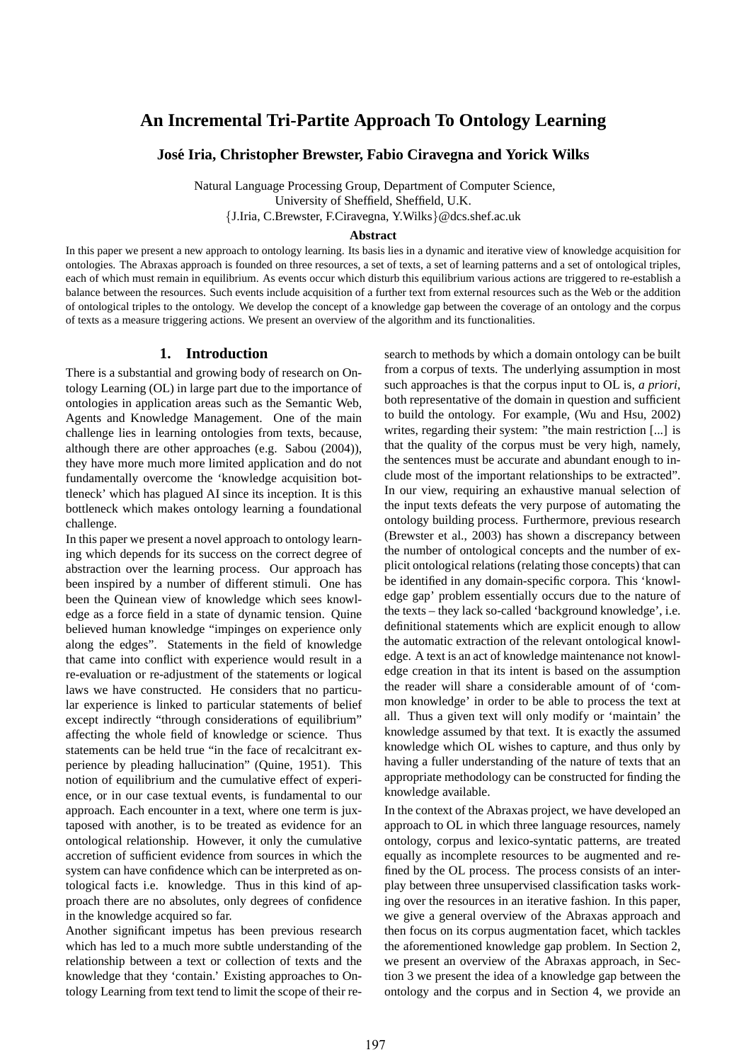# **An Incremental Tri-Partite Approach To Ontology Learning**

**Jose Iria, Christopher Brewster, Fabio Ciravegna and Yorick Wilks ´**

Natural Language Processing Group, Department of Computer Science, University of Sheffield, Sheffield, U.K. {J.Iria, C.Brewster, F.Ciravegna, Y.Wilks}@dcs.shef.ac.uk

#### **Abstract**

In this paper we present a new approach to ontology learning. Its basis lies in a dynamic and iterative view of knowledge acquisition for ontologies. The Abraxas approach is founded on three resources, a set of texts, a set of learning patterns and a set of ontological triples, each of which must remain in equilibrium. As events occur which disturb this equilibrium various actions are triggered to re-establish a balance between the resources. Such events include acquisition of a further text from external resources such as the Web or the addition of ontological triples to the ontology. We develop the concept of a knowledge gap between the coverage of an ontology and the corpus of texts as a measure triggering actions. We present an overview of the algorithm and its functionalities.

# **1. Introduction**

There is a substantial and growing body of research on Ontology Learning (OL) in large part due to the importance of ontologies in application areas such as the Semantic Web, Agents and Knowledge Management. One of the main challenge lies in learning ontologies from texts, because, although there are other approaches (e.g. Sabou (2004)), they have more much more limited application and do not fundamentally overcome the 'knowledge acquisition bottleneck' which has plagued AI since its inception. It is this bottleneck which makes ontology learning a foundational challenge.

In this paper we present a novel approach to ontology learning which depends for its success on the correct degree of abstraction over the learning process. Our approach has been inspired by a number of different stimuli. One has been the Quinean view of knowledge which sees knowledge as a force field in a state of dynamic tension. Quine believed human knowledge "impinges on experience only along the edges". Statements in the field of knowledge that came into conflict with experience would result in a re-evaluation or re-adjustment of the statements or logical laws we have constructed. He considers that no particular experience is linked to particular statements of belief except indirectly "through considerations of equilibrium" affecting the whole field of knowledge or science. Thus statements can be held true "in the face of recalcitrant experience by pleading hallucination" (Quine, 1951). This notion of equilibrium and the cumulative effect of experience, or in our case textual events, is fundamental to our approach. Each encounter in a text, where one term is juxtaposed with another, is to be treated as evidence for an ontological relationship. However, it only the cumulative accretion of sufficient evidence from sources in which the system can have confidence which can be interpreted as ontological facts i.e. knowledge. Thus in this kind of approach there are no absolutes, only degrees of confidence in the knowledge acquired so far.

Another significant impetus has been previous research which has led to a much more subtle understanding of the relationship between a text or collection of texts and the knowledge that they 'contain.' Existing approaches to Ontology Learning from text tend to limit the scope of their research to methods by which a domain ontology can be built from a corpus of texts. The underlying assumption in most such approaches is that the corpus input to OL is, *a priori*, both representative of the domain in question and sufficient to build the ontology. For example, (Wu and Hsu, 2002) writes, regarding their system: "the main restriction [...] is that the quality of the corpus must be very high, namely, the sentences must be accurate and abundant enough to include most of the important relationships to be extracted". In our view, requiring an exhaustive manual selection of the input texts defeats the very purpose of automating the ontology building process. Furthermore, previous research (Brewster et al., 2003) has shown a discrepancy between the number of ontological concepts and the number of explicit ontological relations (relating those concepts) that can be identified in any domain-specific corpora. This 'knowledge gap' problem essentially occurs due to the nature of the texts – they lack so-called 'background knowledge', i.e. definitional statements which are explicit enough to allow the automatic extraction of the relevant ontological knowledge. A text is an act of knowledge maintenance not knowledge creation in that its intent is based on the assumption the reader will share a considerable amount of of 'common knowledge' in order to be able to process the text at all. Thus a given text will only modify or 'maintain' the knowledge assumed by that text. It is exactly the assumed knowledge which OL wishes to capture, and thus only by having a fuller understanding of the nature of texts that an appropriate methodology can be constructed for finding the knowledge available.

In the context of the Abraxas project, we have developed an approach to OL in which three language resources, namely ontology, corpus and lexico-syntatic patterns, are treated equally as incomplete resources to be augmented and refined by the OL process. The process consists of an interplay between three unsupervised classification tasks working over the resources in an iterative fashion. In this paper, we give a general overview of the Abraxas approach and then focus on its corpus augmentation facet, which tackles the aforementioned knowledge gap problem. In Section 2, we present an overview of the Abraxas approach, in Section 3 we present the idea of a knowledge gap between the ontology and the corpus and in Section 4, we provide an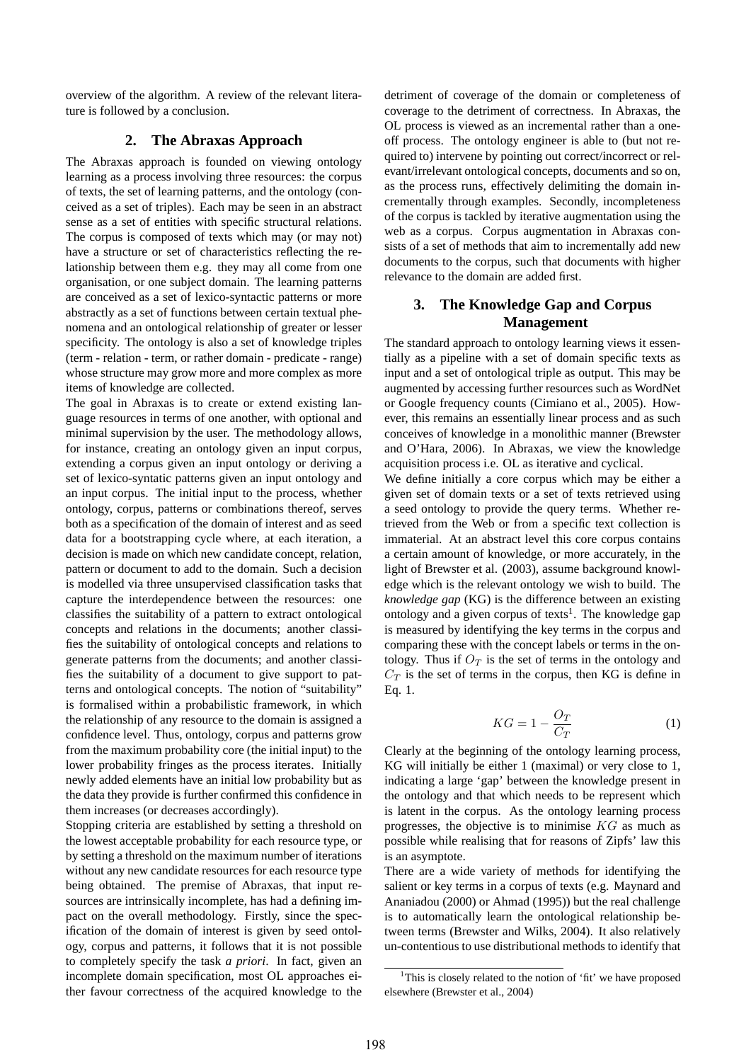overview of the algorithm. A review of the relevant literature is followed by a conclusion.

#### **2. The Abraxas Approach**

The Abraxas approach is founded on viewing ontology learning as a process involving three resources: the corpus of texts, the set of learning patterns, and the ontology (conceived as a set of triples). Each may be seen in an abstract sense as a set of entities with specific structural relations. The corpus is composed of texts which may (or may not) have a structure or set of characteristics reflecting the relationship between them e.g. they may all come from one organisation, or one subject domain. The learning patterns are conceived as a set of lexico-syntactic patterns or more abstractly as a set of functions between certain textual phenomena and an ontological relationship of greater or lesser specificity. The ontology is also a set of knowledge triples (term - relation - term, or rather domain - predicate - range) whose structure may grow more and more complex as more items of knowledge are collected.

The goal in Abraxas is to create or extend existing language resources in terms of one another, with optional and minimal supervision by the user. The methodology allows, for instance, creating an ontology given an input corpus, extending a corpus given an input ontology or deriving a set of lexico-syntatic patterns given an input ontology and an input corpus. The initial input to the process, whether ontology, corpus, patterns or combinations thereof, serves both as a specification of the domain of interest and as seed data for a bootstrapping cycle where, at each iteration, a decision is made on which new candidate concept, relation, pattern or document to add to the domain. Such a decision is modelled via three unsupervised classification tasks that capture the interdependence between the resources: one classifies the suitability of a pattern to extract ontological concepts and relations in the documents; another classifies the suitability of ontological concepts and relations to generate patterns from the documents; and another classifies the suitability of a document to give support to patterns and ontological concepts. The notion of "suitability" is formalised within a probabilistic framework, in which the relationship of any resource to the domain is assigned a confidence level. Thus, ontology, corpus and patterns grow from the maximum probability core (the initial input) to the lower probability fringes as the process iterates. Initially newly added elements have an initial low probability but as the data they provide is further confirmed this confidence in them increases (or decreases accordingly).

Stopping criteria are established by setting a threshold on the lowest acceptable probability for each resource type, or by setting a threshold on the maximum number of iterations without any new candidate resources for each resource type being obtained. The premise of Abraxas, that input resources are intrinsically incomplete, has had a defining impact on the overall methodology. Firstly, since the specification of the domain of interest is given by seed ontology, corpus and patterns, it follows that it is not possible to completely specify the task *a priori*. In fact, given an incomplete domain specification, most OL approaches either favour correctness of the acquired knowledge to the detriment of coverage of the domain or completeness of coverage to the detriment of correctness. In Abraxas, the OL process is viewed as an incremental rather than a oneoff process. The ontology engineer is able to (but not required to) intervene by pointing out correct/incorrect or relevant/irrelevant ontological concepts, documents and so on, as the process runs, effectively delimiting the domain incrementally through examples. Secondly, incompleteness of the corpus is tackled by iterative augmentation using the web as a corpus. Corpus augmentation in Abraxas consists of a set of methods that aim to incrementally add new documents to the corpus, such that documents with higher relevance to the domain are added first.

# **3. The Knowledge Gap and Corpus Management**

The standard approach to ontology learning views it essentially as a pipeline with a set of domain specific texts as input and a set of ontological triple as output. This may be augmented by accessing further resources such as WordNet or Google frequency counts (Cimiano et al., 2005). However, this remains an essentially linear process and as such conceives of knowledge in a monolithic manner (Brewster and O'Hara, 2006). In Abraxas, we view the knowledge acquisition process i.e. OL as iterative and cyclical.

We define initially a core corpus which may be either a given set of domain texts or a set of texts retrieved using a seed ontology to provide the query terms. Whether retrieved from the Web or from a specific text collection is immaterial. At an abstract level this core corpus contains a certain amount of knowledge, or more accurately, in the light of Brewster et al. (2003), assume background knowledge which is the relevant ontology we wish to build. The *knowledge gap* (KG) is the difference between an existing ontology and a given corpus of texts<sup>1</sup>. The knowledge gap is measured by identifying the key terms in the corpus and comparing these with the concept labels or terms in the ontology. Thus if  $O_T$  is the set of terms in the ontology and  $C_T$  is the set of terms in the corpus, then KG is define in Eq. 1.

$$
KG = 1 - \frac{O_T}{C_T} \tag{1}
$$

Clearly at the beginning of the ontology learning process, KG will initially be either 1 (maximal) or very close to 1, indicating a large 'gap' between the knowledge present in the ontology and that which needs to be represent which is latent in the corpus. As the ontology learning process progresses, the objective is to minimise  $KG$  as much as possible while realising that for reasons of Zipfs' law this is an asymptote.

There are a wide variety of methods for identifying the salient or key terms in a corpus of texts (e.g. Maynard and Ananiadou (2000) or Ahmad (1995)) but the real challenge is to automatically learn the ontological relationship between terms (Brewster and Wilks, 2004). It also relatively un-contentious to use distributional methods to identify that

<sup>&</sup>lt;sup>1</sup>This is closely related to the notion of 'fit' we have proposed elsewhere (Brewster et al., 2004)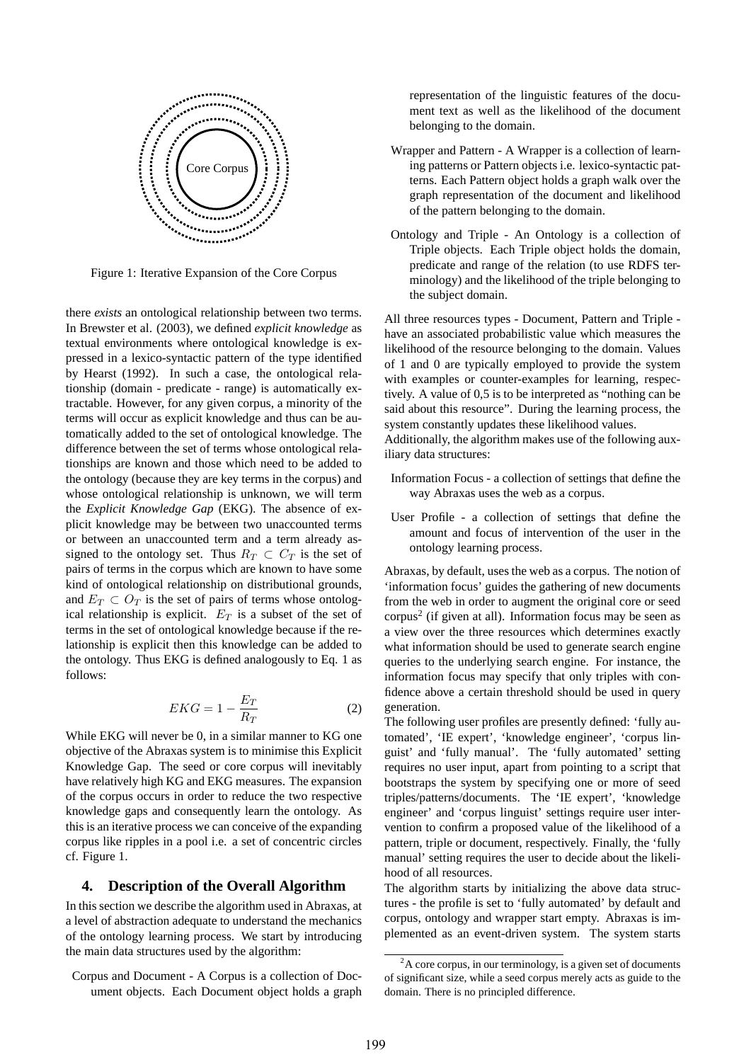

Figure 1: Iterative Expansion of the Core Corpus

there *exists* an ontological relationship between two terms. In Brewster et al. (2003), we defined *explicit knowledge* as textual environments where ontological knowledge is expressed in a lexico-syntactic pattern of the type identified by Hearst (1992). In such a case, the ontological relationship (domain - predicate - range) is automatically extractable. However, for any given corpus, a minority of the terms will occur as explicit knowledge and thus can be automatically added to the set of ontological knowledge. The difference between the set of terms whose ontological relationships are known and those which need to be added to the ontology (because they are key terms in the corpus) and whose ontological relationship is unknown, we will term the *Explicit Knowledge Gap* (EKG). The absence of explicit knowledge may be between two unaccounted terms or between an unaccounted term and a term already assigned to the ontology set. Thus  $R_T \subset C_T$  is the set of pairs of terms in the corpus which are known to have some kind of ontological relationship on distributional grounds, and  $E_T \subset O_T$  is the set of pairs of terms whose ontological relationship is explicit.  $E_T$  is a subset of the set of terms in the set of ontological knowledge because if the relationship is explicit then this knowledge can be added to the ontology. Thus EKG is defined analogously to Eq. 1 as follows:

$$
EKG = 1 - \frac{E_T}{R_T} \tag{2}
$$

While EKG will never be 0, in a similar manner to KG one objective of the Abraxas system is to minimise this Explicit Knowledge Gap. The seed or core corpus will inevitably have relatively high KG and EKG measures. The expansion of the corpus occurs in order to reduce the two respective knowledge gaps and consequently learn the ontology. As this is an iterative process we can conceive of the expanding corpus like ripples in a pool i.e. a set of concentric circles cf. Figure 1.

#### **4. Description of the Overall Algorithm**

In this section we describe the algorithm used in Abraxas, at a level of abstraction adequate to understand the mechanics of the ontology learning process. We start by introducing the main data structures used by the algorithm:

Corpus and Document - A Corpus is a collection of Document objects. Each Document object holds a graph representation of the linguistic features of the document text as well as the likelihood of the document belonging to the domain.

- Wrapper and Pattern A Wrapper is a collection of learning patterns or Pattern objects i.e. lexico-syntactic patterns. Each Pattern object holds a graph walk over the graph representation of the document and likelihood of the pattern belonging to the domain.
- Ontology and Triple An Ontology is a collection of Triple objects. Each Triple object holds the domain, predicate and range of the relation (to use RDFS terminology) and the likelihood of the triple belonging to the subject domain.

All three resources types - Document, Pattern and Triple have an associated probabilistic value which measures the likelihood of the resource belonging to the domain. Values of 1 and 0 are typically employed to provide the system with examples or counter-examples for learning, respectively. A value of 0,5 is to be interpreted as "nothing can be said about this resource". During the learning process, the system constantly updates these likelihood values.

Additionally, the algorithm makes use of the following auxiliary data structures:

- Information Focus a collection of settings that define the way Abraxas uses the web as a corpus.
- User Profile a collection of settings that define the amount and focus of intervention of the user in the ontology learning process.

Abraxas, by default, uses the web as a corpus. The notion of 'information focus' guides the gathering of new documents from the web in order to augment the original core or seed  $corpus<sup>2</sup>$  (if given at all). Information focus may be seen as a view over the three resources which determines exactly what information should be used to generate search engine queries to the underlying search engine. For instance, the information focus may specify that only triples with confidence above a certain threshold should be used in query generation.

The following user profiles are presently defined: 'fully automated', 'IE expert', 'knowledge engineer', 'corpus linguist' and 'fully manual'. The 'fully automated' setting requires no user input, apart from pointing to a script that bootstraps the system by specifying one or more of seed triples/patterns/documents. The 'IE expert', 'knowledge engineer' and 'corpus linguist' settings require user intervention to confirm a proposed value of the likelihood of a pattern, triple or document, respectively. Finally, the 'fully manual' setting requires the user to decide about the likelihood of all resources.

The algorithm starts by initializing the above data structures - the profile is set to 'fully automated' by default and corpus, ontology and wrapper start empty. Abraxas is implemented as an event-driven system. The system starts

 $^{2}$ A core corpus, in our terminology, is a given set of documents of significant size, while a seed corpus merely acts as guide to the domain. There is no principled difference.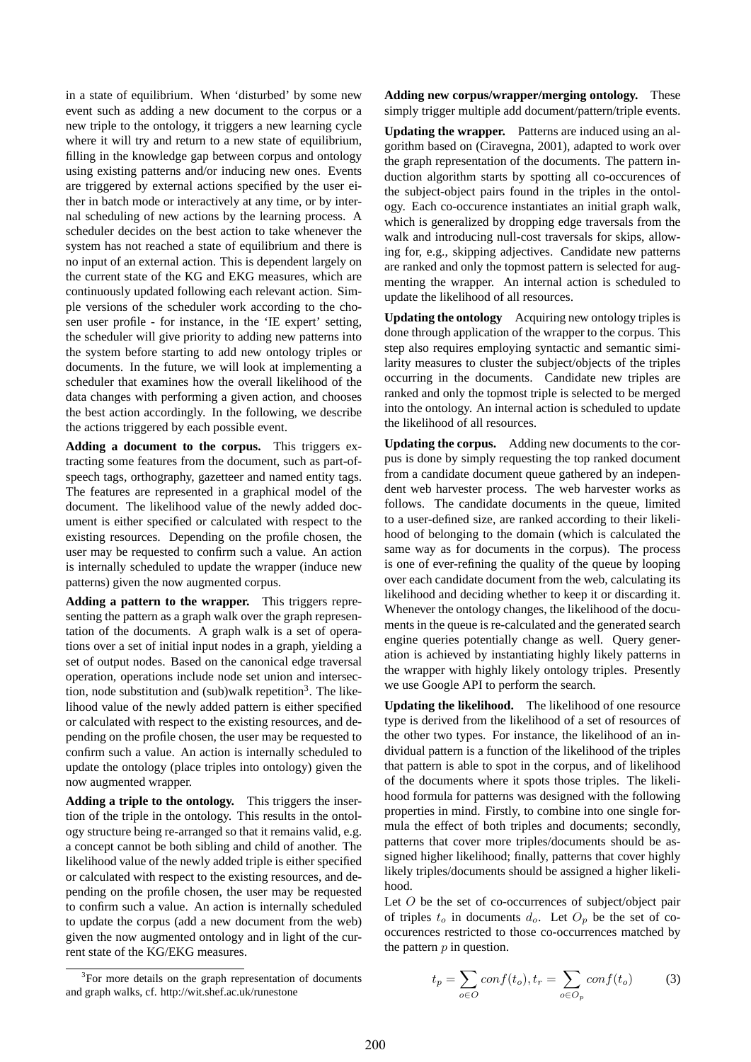in a state of equilibrium. When 'disturbed' by some new event such as adding a new document to the corpus or a new triple to the ontology, it triggers a new learning cycle where it will try and return to a new state of equilibrium, filling in the knowledge gap between corpus and ontology using existing patterns and/or inducing new ones. Events are triggered by external actions specified by the user either in batch mode or interactively at any time, or by internal scheduling of new actions by the learning process. A scheduler decides on the best action to take whenever the system has not reached a state of equilibrium and there is no input of an external action. This is dependent largely on the current state of the KG and EKG measures, which are continuously updated following each relevant action. Simple versions of the scheduler work according to the chosen user profile - for instance, in the 'IE expert' setting, the scheduler will give priority to adding new patterns into the system before starting to add new ontology triples or documents. In the future, we will look at implementing a scheduler that examines how the overall likelihood of the data changes with performing a given action, and chooses the best action accordingly. In the following, we describe the actions triggered by each possible event.

**Adding a document to the corpus.** This triggers extracting some features from the document, such as part-ofspeech tags, orthography, gazetteer and named entity tags. The features are represented in a graphical model of the document. The likelihood value of the newly added document is either specified or calculated with respect to the existing resources. Depending on the profile chosen, the user may be requested to confirm such a value. An action is internally scheduled to update the wrapper (induce new patterns) given the now augmented corpus.

**Adding a pattern to the wrapper.** This triggers representing the pattern as a graph walk over the graph representation of the documents. A graph walk is a set of operations over a set of initial input nodes in a graph, yielding a set of output nodes. Based on the canonical edge traversal operation, operations include node set union and intersection, node substitution and (sub)walk repetition<sup>3</sup>. The likelihood value of the newly added pattern is either specified or calculated with respect to the existing resources, and depending on the profile chosen, the user may be requested to confirm such a value. An action is internally scheduled to update the ontology (place triples into ontology) given the now augmented wrapper.

**Adding a triple to the ontology.** This triggers the insertion of the triple in the ontology. This results in the ontology structure being re-arranged so that it remains valid, e.g. a concept cannot be both sibling and child of another. The likelihood value of the newly added triple is either specified or calculated with respect to the existing resources, and depending on the profile chosen, the user may be requested to confirm such a value. An action is internally scheduled to update the corpus (add a new document from the web) given the now augmented ontology and in light of the current state of the KG/EKG measures.

**Adding new corpus/wrapper/merging ontology.** These simply trigger multiple add document/pattern/triple events.

**Updating the wrapper.** Patterns are induced using an algorithm based on (Ciravegna, 2001), adapted to work over the graph representation of the documents. The pattern induction algorithm starts by spotting all co-occurences of the subject-object pairs found in the triples in the ontology. Each co-occurence instantiates an initial graph walk, which is generalized by dropping edge traversals from the walk and introducing null-cost traversals for skips, allowing for, e.g., skipping adjectives. Candidate new patterns are ranked and only the topmost pattern is selected for augmenting the wrapper. An internal action is scheduled to update the likelihood of all resources.

**Updating the ontology** Acquiring new ontology triples is done through application of the wrapper to the corpus. This step also requires employing syntactic and semantic similarity measures to cluster the subject/objects of the triples occurring in the documents. Candidate new triples are ranked and only the topmost triple is selected to be merged into the ontology. An internal action is scheduled to update the likelihood of all resources.

**Updating the corpus.** Adding new documents to the corpus is done by simply requesting the top ranked document from a candidate document queue gathered by an independent web harvester process. The web harvester works as follows. The candidate documents in the queue, limited to a user-defined size, are ranked according to their likelihood of belonging to the domain (which is calculated the same way as for documents in the corpus). The process is one of ever-refining the quality of the queue by looping over each candidate document from the web, calculating its likelihood and deciding whether to keep it or discarding it. Whenever the ontology changes, the likelihood of the documents in the queue is re-calculated and the generated search engine queries potentially change as well. Query generation is achieved by instantiating highly likely patterns in the wrapper with highly likely ontology triples. Presently we use Google API to perform the search.

**Updating the likelihood.** The likelihood of one resource type is derived from the likelihood of a set of resources of the other two types. For instance, the likelihood of an individual pattern is a function of the likelihood of the triples that pattern is able to spot in the corpus, and of likelihood of the documents where it spots those triples. The likelihood formula for patterns was designed with the following properties in mind. Firstly, to combine into one single formula the effect of both triples and documents; secondly, patterns that cover more triples/documents should be assigned higher likelihood; finally, patterns that cover highly likely triples/documents should be assigned a higher likelihood.

Let  $O$  be the set of co-occurrences of subject/object pair of triples  $t_o$  in documents  $d_o$ . Let  $O_p$  be the set of cooccurences restricted to those co-occurrences matched by the pattern  $p$  in question.

$$
t_p = \sum_{o \in O} conf(t_o), t_r = \sum_{o \in O_p} conf(t_o)
$$
 (3)

<sup>&</sup>lt;sup>3</sup>For more details on the graph representation of documents and graph walks, cf. http://wit.shef.ac.uk/runestone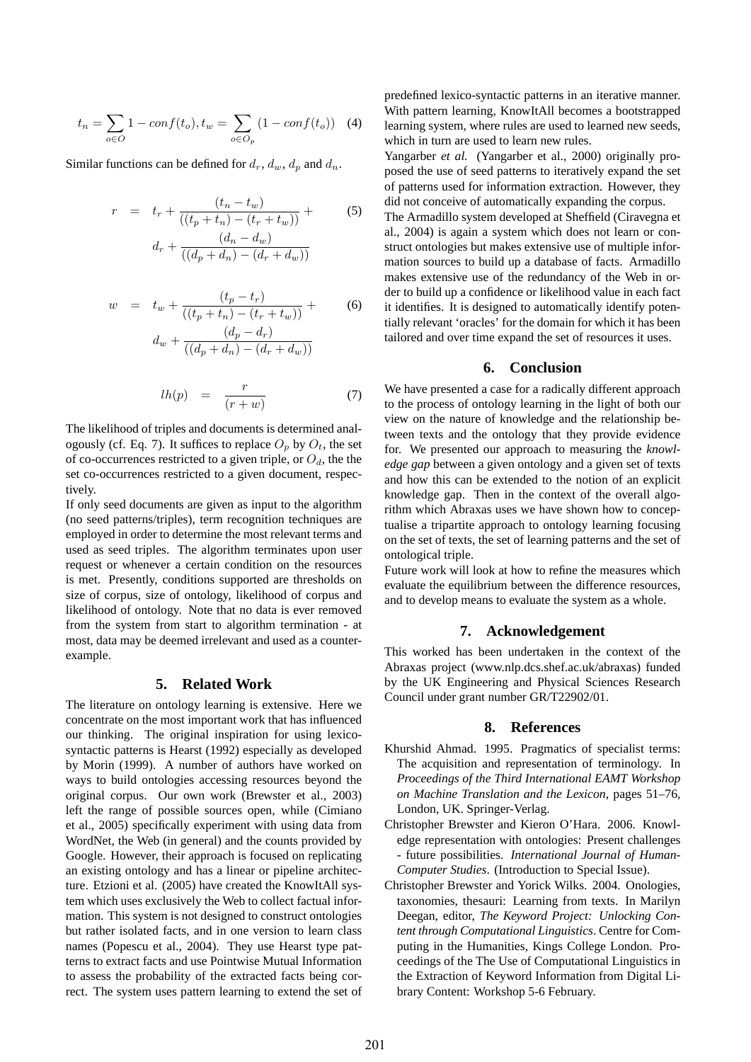$$
t_n = \sum_{o \in O} 1 - conf(t_o), t_w = \sum_{o \in O_p} (1 - conf(t_o)) \quad (4)
$$

Similar functions can be defined for  $d_r$ ,  $d_w$ ,  $d_p$  and  $d_n$ .

$$
r = t_r + \frac{(t_n - t_w)}{((t_p + t_n) - (t_r + t_w))} +
$$
  
\n
$$
d_r + \frac{(d_n - d_w)}{((d_p + d_n) - (d_r + d_w))}
$$
\n(5)

$$
w = t_w + \frac{(t_p - t_r)}{((t_p + t_n) - (t_r + t_w))} +
$$
  
\n
$$
d_w + \frac{(d_p - d_r)}{((d_p + d_n) - (d_r + d_w))}
$$
\n(6)

$$
lh(p) = \frac{r}{(r+w)} \tag{7}
$$

The likelihood of triples and documents is determined analogously (cf. Eq. 7). It suffices to replace  $O_p$  by  $O_t$ , the set of co-occurrences restricted to a given triple, or  $O<sub>d</sub>$ , the the set co-occurrences restricted to a given document, respectively.

If only seed documents are given as input to the algorithm (no seed patterns/triples), term recognition techniques are employed in order to determine the most relevant terms and used as seed triples. The algorithm terminates upon user request or whenever a certain condition on the resources is met. Presently, conditions supported are thresholds on size of corpus, size of ontology, likelihood of corpus and likelihood of ontology. Note that no data is ever removed from the system from start to algorithm termination - at most, data may be deemed irrelevant and used as a counterexample.

## **5. Related Work**

The literature on ontology learning is extensive. Here we concentrate on the most important work that has influenced our thinking. The original inspiration for using lexicosyntactic patterns is Hearst (1992) especially as developed by Morin (1999). A number of authors have worked on ways to build ontologies accessing resources beyond the original corpus. Our own work (Brewster et al., 2003) left the range of possible sources open, while (Cimiano et al., 2005) specifically experiment with using data from WordNet, the Web (in general) and the counts provided by Google. However, their approach is focused on replicating an existing ontology and has a linear or pipeline architecture. Etzioni et al. (2005) have created the KnowItAll system which uses exclusively the Web to collect factual information. This system is not designed to construct ontologies but rather isolated facts, and in one version to learn class names (Popescu et al., 2004). They use Hearst type patterns to extract facts and use Pointwise Mutual Information to assess the probability of the extracted facts being correct. The system uses pattern learning to extend the set of predefined lexico-syntactic patterns in an iterative manner. With pattern learning, KnowItAll becomes a bootstrapped learning system, where rules are used to learned new seeds, which in turn are used to learn new rules.

Yangarber *et al.* (Yangarber et al., 2000) originally proposed the use of seed patterns to iteratively expand the set of patterns used for information extraction. However, they did not conceive of automatically expanding the corpus.

The Armadillo system developed at Sheffield (Ciravegna et al., 2004) is again a system which does not learn or construct ontologies but makes extensive use of multiple information sources to build up a database of facts. Armadillo makes extensive use of the redundancy of the Web in order to build up a confidence or likelihood value in each fact it identifies. It is designed to automatically identify potentially relevant 'oracles' for the domain for which it has been tailored and over time expand the set of resources it uses.

#### **6. Conclusion**

We have presented a case for a radically different approach to the process of ontology learning in the light of both our view on the nature of knowledge and the relationship between texts and the ontology that they provide evidence for. We presented our approach to measuring the *knowledge gap* between a given ontology and a given set of texts and how this can be extended to the notion of an explicit knowledge gap. Then in the context of the overall algorithm which Abraxas uses we have shown how to conceptualise a tripartite approach to ontology learning focusing on the set of texts, the set of learning patterns and the set of ontological triple.

Future work will look at how to refine the measures which evaluate the equilibrium between the difference resources, and to develop means to evaluate the system as a whole.

### **7. Acknowledgement**

This worked has been undertaken in the context of the Abraxas project (www.nlp.dcs.shef.ac.uk/abraxas) funded by the UK Engineering and Physical Sciences Research Council under grant number GR/T22902/01.

#### **8. References**

- Khurshid Ahmad. 1995. Pragmatics of specialist terms: The acquisition and representation of terminology. In *Proceedings of the Third International EAMT Workshop on Machine Translation and the Lexicon*, pages 51–76, London, UK. Springer-Verlag.
- Christopher Brewster and Kieron O'Hara. 2006. Knowledge representation with ontologies: Present challenges - future possibilities. *International Journal of Human-Computer Studies*. (Introduction to Special Issue).
- Christopher Brewster and Yorick Wilks. 2004. Onologies, taxonomies, thesauri: Learning from texts. In Marilyn Deegan, editor, *The Keyword Project: Unlocking Content through Computational Linguistics*. Centre for Computing in the Humanities, Kings College London. Proceedings of the The Use of Computational Linguistics in the Extraction of Keyword Information from Digital Library Content: Workshop 5-6 February.